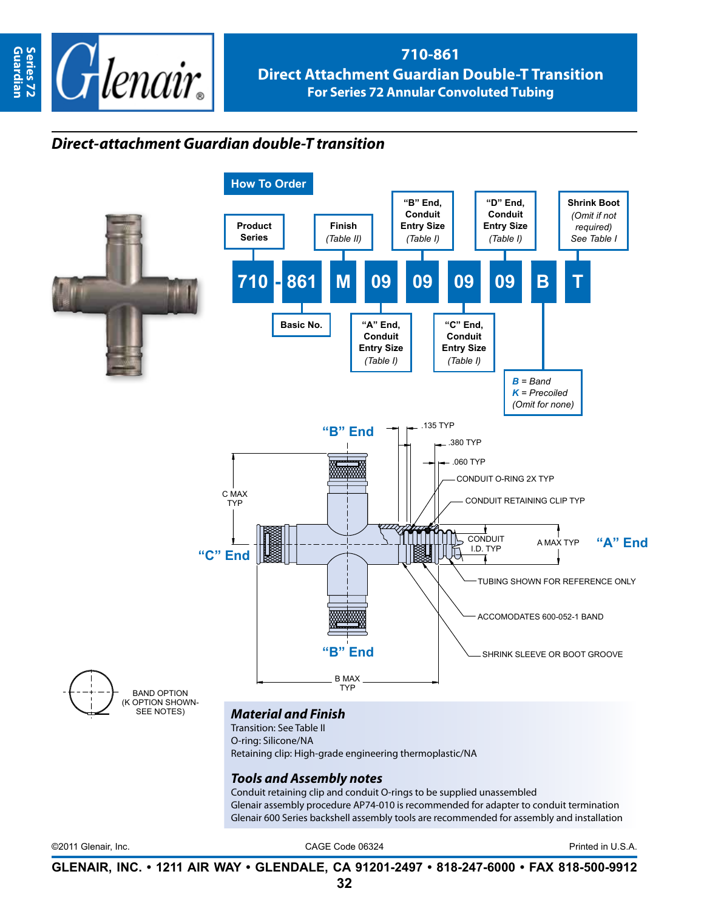

## **710-861 Direct Attachment Guardian Double-T Transition For Series 72 Annular Convoluted Tubing**

## *Direct-attachment Guardian double-T transition*



Glenair assembly procedure AP74-010 is recommended for adapter to conduit termination Glenair 600 Series backshell assembly tools are recommended for assembly and installation

©2011 Glenair, Inc. CAGE Code 06324 Printed in U.S.A.

**GLENAIR, INC. • 1211 AIR WAY • GLENDALE, CA 91201-2497 • 818-247-6000 • FAX 818-500-9912**